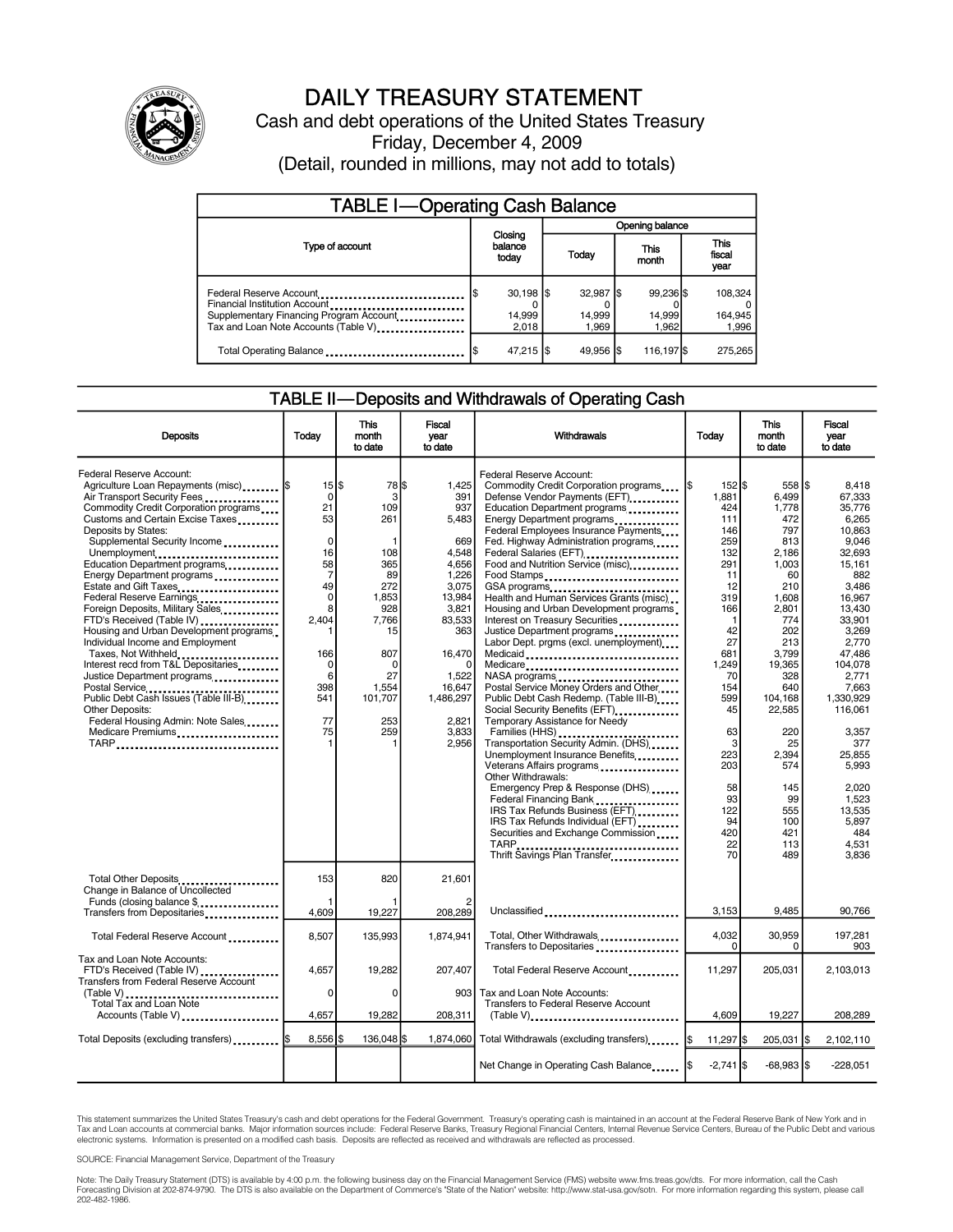

# DAILY TREASURY STATEMENT

Cash and debt operations of the United States Treasury Friday, December 4, 2009 (Detail, rounded in millions, may not add to totals)

| <b>TABLE I-Operating Cash Balance</b>                                                                                                       |                               |       |                 |                               |  |                              |                               |                             |
|---------------------------------------------------------------------------------------------------------------------------------------------|-------------------------------|-------|-----------------|-------------------------------|--|------------------------------|-------------------------------|-----------------------------|
|                                                                                                                                             | Closing<br>balance<br>today   |       | Opening balance |                               |  |                              |                               |                             |
| Type of account                                                                                                                             |                               |       |                 | <b>This</b><br>Today<br>month |  |                              | <b>This</b><br>fiscal<br>year |                             |
| Federal Reserve Account<br>Financial Institution Account<br>Supplementary Financing Program Account<br>Tax and Loan Note Accounts (Table V) | $30,198$ $\sqrt{5}$<br>14,999 | 2.018 |                 | 32,987 \$<br>14,999<br>1.969  |  | 99.236 \$<br>14.999<br>1.962 |                               | 108,324<br>164,945<br>1,996 |
| Total Operating Balance                                                                                                                     | 47,215 \$                     |       |                 | 49.956 \$                     |  | 116,1975                     |                               | 275.265                     |

### TABLE II—Deposits and Withdrawals of Operating Cash

| Deposits                                                                                                                                                                                                                                                                                                                                                                                                                                                                                                                                                                                                                                                                                                                                                                     | Todav                                                                                                                                                                           | <b>This</b><br>month<br>to date                                                                                                               | <b>Fiscal</b><br>vear<br>to date                                                                                                                                                 | Withdrawals                                                                                                                                                                                                                                                                                                                                                                                                                                                                                                                                                                                                                                                                                                                                                                                                                                                                                                                                                                                                                                                                   | Today                                                                                                                                                                                                                          | <b>This</b><br>month<br>to date                                                                                                                                                                                                                        | Fiscal<br>vear<br>to date                                                                                                                                                                                                                                                                                 |
|------------------------------------------------------------------------------------------------------------------------------------------------------------------------------------------------------------------------------------------------------------------------------------------------------------------------------------------------------------------------------------------------------------------------------------------------------------------------------------------------------------------------------------------------------------------------------------------------------------------------------------------------------------------------------------------------------------------------------------------------------------------------------|---------------------------------------------------------------------------------------------------------------------------------------------------------------------------------|-----------------------------------------------------------------------------------------------------------------------------------------------|----------------------------------------------------------------------------------------------------------------------------------------------------------------------------------|-------------------------------------------------------------------------------------------------------------------------------------------------------------------------------------------------------------------------------------------------------------------------------------------------------------------------------------------------------------------------------------------------------------------------------------------------------------------------------------------------------------------------------------------------------------------------------------------------------------------------------------------------------------------------------------------------------------------------------------------------------------------------------------------------------------------------------------------------------------------------------------------------------------------------------------------------------------------------------------------------------------------------------------------------------------------------------|--------------------------------------------------------------------------------------------------------------------------------------------------------------------------------------------------------------------------------|--------------------------------------------------------------------------------------------------------------------------------------------------------------------------------------------------------------------------------------------------------|-----------------------------------------------------------------------------------------------------------------------------------------------------------------------------------------------------------------------------------------------------------------------------------------------------------|
| Federal Reserve Account:<br>Agriculture Loan Repayments (misc)  \$<br>Air Transport Security Fees<br>Commodity Credit Corporation programs<br>Customs and Certain Excise Taxes<br>Deposits by States:<br>Supplemental Security Income<br>Unemployment<br>Education Department programs<br>Energy Department programs<br>Estate and Gift Taxes<br>Federal Reserve Earnings<br>Foreign Deposits, Military Sales<br>FTD's Received (Table IV)<br>Housing and Urban Development programs<br>Individual Income and Employment<br>Taxes, Not Withheld<br>Interest recd from T&L Depositaries<br>Justice Department programs<br>Postal Service<br>Public Debt Cash Issues (Table III-B)<br><b>Other Deposits:</b><br>Federal Housing Admin: Note Sales<br>Medicare Premiums<br>TARP | $15$ $\frac{1}{3}$<br>$\mathbf 0$<br>21<br>53<br>$\mathbf 0$<br>16<br>58<br>$\overline{7}$<br>49<br>$\Omega$<br>8<br>2,404<br>166<br>$\mathbf 0$<br>6<br>398<br>541<br>77<br>75 | 78 \$<br>3<br>109<br>261<br>108<br>365<br>89<br>272<br>1.853<br>928<br>7,766<br>15<br>807<br>$\Omega$<br>27<br>1,554<br>101,707<br>253<br>259 | 1,425<br>391<br>937<br>5,483<br>669<br>4,548<br>4,656<br>1,226<br>3,075<br>13,984<br>3,821<br>83,533<br>363<br>16,470<br>1,522<br>16,647<br>1,486,297<br>2.821<br>3,833<br>2,956 | Federal Reserve Account:<br>Commodity Credit Corporation programs<br>Defense Vendor Payments (EFT)<br>Education Department programs<br>Energy Department programs<br>Federal Employees Insurance Payments<br>Fed. Highway Administration programs<br>Federal Salaries (EFT)<br>Food and Nutrition Service (misc)<br>Food Stamps<br>GSA programs<br>Health and Human Services Grants (misc)<br>Housing and Urban Development programs<br>Interest on Treasury Securities<br>Justice Department programs<br>Labor Dept. prgms (excl. unemployment)<br>Medicaid<br>Medicare<br>Postal Service Money Orders and Other<br>Public Debt Cash Redemp. (Table III-B)<br>Social Security Benefits (EFT) [1001]<br>Temporary Assistance for Needy<br>Transportation Security Admin. (DHS)<br>Unemployment Insurance Benefits<br>Veterans Affairs programs<br>Other Withdrawals:<br>Emergency Prep & Response (DHS)<br>Federal Financing Bank<br>IRS Tax Refunds Business (EFT)<br>IRS Tax Refunds Individual (EFT)<br>Securities and Exchange Commission<br>Thrift Savings Plan Transfer | 152 \$<br>1,881<br>424<br>111<br>146<br>259<br>132<br>291<br>11<br>12<br>319<br>166<br>$\mathbf{1}$<br>42<br>27<br>681<br>1,249<br>70<br>154<br>599<br>45<br>63<br>3<br>223<br>203<br>58<br>93<br>122<br>94<br>420<br>22<br>70 | 558 \$<br>6,499<br>1,778<br>472<br>797<br>813<br>2,186<br>1,003<br>60<br>210<br>1,608<br>2,801<br>774<br>202<br>213<br>3.799<br>19,365<br>328<br>640<br>104.168<br>22,585<br>220<br>25<br>2,394<br>574<br>145<br>99<br>555<br>100<br>421<br>113<br>489 | 8,418<br>67,333<br>35,776<br>6.265<br>10.863<br>9.046<br>32,693<br>15,161<br>882<br>3.486<br>16.967<br>13,430<br>33,901<br>3,269<br>2.770<br>47.486<br>104,078<br>2,771<br>7,663<br>1.330.929<br>116,061<br>3,357<br>377<br>25.855<br>5.993<br>2,020<br>1,523<br>13,535<br>5.897<br>484<br>4.531<br>3,836 |
| Total Other Deposits<br>Change in Balance of Uncollected<br>Funds (closing balance \$                                                                                                                                                                                                                                                                                                                                                                                                                                                                                                                                                                                                                                                                                        | 153                                                                                                                                                                             | 820                                                                                                                                           | 21,601                                                                                                                                                                           |                                                                                                                                                                                                                                                                                                                                                                                                                                                                                                                                                                                                                                                                                                                                                                                                                                                                                                                                                                                                                                                                               |                                                                                                                                                                                                                                |                                                                                                                                                                                                                                                        |                                                                                                                                                                                                                                                                                                           |
| Transfers from Depositaries                                                                                                                                                                                                                                                                                                                                                                                                                                                                                                                                                                                                                                                                                                                                                  | 4.609                                                                                                                                                                           | 19,227                                                                                                                                        | 208,289                                                                                                                                                                          | Unclassified                                                                                                                                                                                                                                                                                                                                                                                                                                                                                                                                                                                                                                                                                                                                                                                                                                                                                                                                                                                                                                                                  | 3,153                                                                                                                                                                                                                          | 9,485                                                                                                                                                                                                                                                  | 90,766                                                                                                                                                                                                                                                                                                    |
| Total Federal Reserve Account                                                                                                                                                                                                                                                                                                                                                                                                                                                                                                                                                                                                                                                                                                                                                | 8,507                                                                                                                                                                           | 135,993                                                                                                                                       | 1,874,941                                                                                                                                                                        | Total, Other Withdrawals<br>Transfers to Depositaries                                                                                                                                                                                                                                                                                                                                                                                                                                                                                                                                                                                                                                                                                                                                                                                                                                                                                                                                                                                                                         | 4,032<br>0                                                                                                                                                                                                                     | 30,959<br>0                                                                                                                                                                                                                                            | 197,281<br>903                                                                                                                                                                                                                                                                                            |
| Tax and Loan Note Accounts:<br>FTD's Received (Table IV)<br><b>Transfers from Federal Reserve Account</b><br>(Table V)                                                                                                                                                                                                                                                                                                                                                                                                                                                                                                                                                                                                                                                       | 4.657<br>$\mathbf 0$                                                                                                                                                            | 19,282<br>$\mathbf 0$                                                                                                                         | 207.407                                                                                                                                                                          | Total Federal Reserve Account.<br>903 Tax and Loan Note Accounts:                                                                                                                                                                                                                                                                                                                                                                                                                                                                                                                                                                                                                                                                                                                                                                                                                                                                                                                                                                                                             | 11,297                                                                                                                                                                                                                         | 205.031                                                                                                                                                                                                                                                | 2.103.013                                                                                                                                                                                                                                                                                                 |
| Total Tax and Loan Note<br>Accounts (Table V)                                                                                                                                                                                                                                                                                                                                                                                                                                                                                                                                                                                                                                                                                                                                | 4,657                                                                                                                                                                           | 19,282                                                                                                                                        | 208,311                                                                                                                                                                          | Transfers to Federal Reserve Account                                                                                                                                                                                                                                                                                                                                                                                                                                                                                                                                                                                                                                                                                                                                                                                                                                                                                                                                                                                                                                          | 4,609                                                                                                                                                                                                                          | 19,227                                                                                                                                                                                                                                                 | 208,289                                                                                                                                                                                                                                                                                                   |
| Total Deposits (excluding transfers)  \$                                                                                                                                                                                                                                                                                                                                                                                                                                                                                                                                                                                                                                                                                                                                     | 8,556 \$                                                                                                                                                                        | 136.048                                                                                                                                       |                                                                                                                                                                                  | 1,874,060 Total Withdrawals (excluding transfers) [\$                                                                                                                                                                                                                                                                                                                                                                                                                                                                                                                                                                                                                                                                                                                                                                                                                                                                                                                                                                                                                         | 11,297 \$                                                                                                                                                                                                                      | 205,031 \$                                                                                                                                                                                                                                             | 2,102,110                                                                                                                                                                                                                                                                                                 |
|                                                                                                                                                                                                                                                                                                                                                                                                                                                                                                                                                                                                                                                                                                                                                                              |                                                                                                                                                                                 |                                                                                                                                               |                                                                                                                                                                                  |                                                                                                                                                                                                                                                                                                                                                                                                                                                                                                                                                                                                                                                                                                                                                                                                                                                                                                                                                                                                                                                                               | $-2,741$ \$                                                                                                                                                                                                                    | $-68,983$ \$                                                                                                                                                                                                                                           | $-228,051$                                                                                                                                                                                                                                                                                                |

This statement summarizes the United States Treasury's cash and debt operations for the Federal Government. Treasury's operating cash is maintained in an account at the Federal Reserve Bank of New York and in<br>Tax and Loan

SOURCE: Financial Management Service, Department of the Treasury

Note: The Daily Treasury Statement (DTS) is available by 4:00 p.m. the following business day on the Financial Management Service (FMS) website www.fms.treas.gov/dts. For more information, call the Cash Forecasting Division at 202-874-9790. The DTS is also available on the Department of Commerce's "State of the Nation" website: http://www.stat-usa.gov/sotn. For more information regarding this system, please call<br>202-482-1